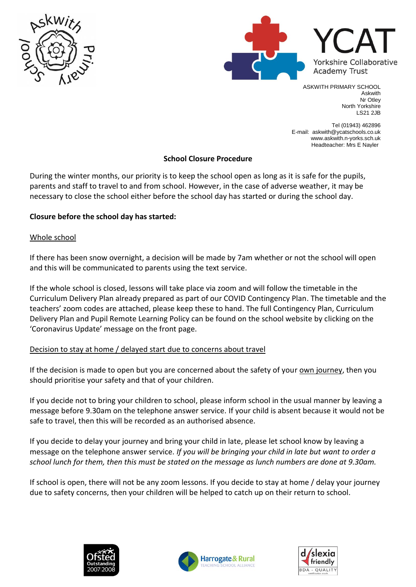



ASKWITH PRIMARY SCHOOL Askwith Nr Otley North Yorkshire LS21 2JB

Tel (01943) 462896 E-mail: askwith@ycatschools.co.uk www.askwith.n-yorks.sch.uk Headteacher: Mrs E Nayler

## **School Closure Procedure**

During the winter months, our priority is to keep the school open as long as it is safe for the pupils, parents and staff to travel to and from school. However, in the case of adverse weather, it may be necessary to close the school either before the school day has started or during the school day.

# **Closure before the school day has started:**

## Whole school

If there has been snow overnight, a decision will be made by 7am whether or not the school will open and this will be communicated to parents using the text service.

If the whole school is closed, lessons will take place via zoom and will follow the timetable in the Curriculum Delivery Plan already prepared as part of our COVID Contingency Plan. The timetable and the teachers' zoom codes are attached, please keep these to hand. The full Contingency Plan, Curriculum Delivery Plan and Pupil Remote Learning Policy can be found on the school website by clicking on the 'Coronavirus Update' message on the front page.

## Decision to stay at home / delayed start due to concerns about travel

If the decision is made to open but you are concerned about the safety of your own journey, then you should prioritise your safety and that of your children.

If you decide not to bring your children to school, please inform school in the usual manner by leaving a message before 9.30am on the telephone answer service. If your child is absent because it would not be safe to travel, then this will be recorded as an authorised absence.

If you decide to delay your journey and bring your child in late, please let school know by leaving a message on the telephone answer service. *If you will be bringing your child in late but want to order a school lunch for them, then this must be stated on the message as lunch numbers are done at 9.30am.*

If school is open, there will not be any zoom lessons. If you decide to stay at home / delay your journey due to safety concerns, then your children will be helped to catch up on their return to school.